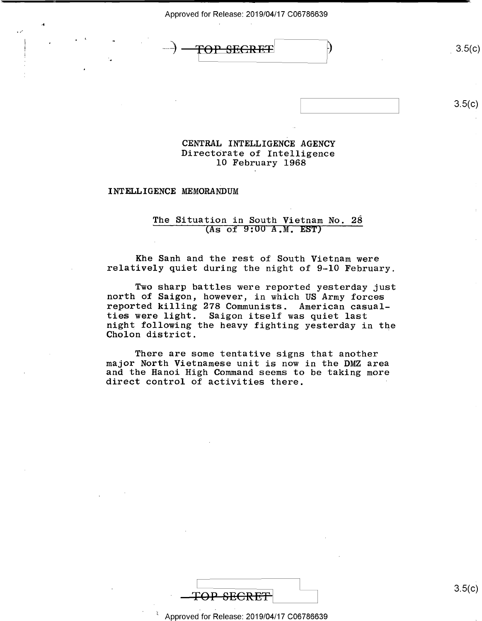

## $3.5(c)$

# CENTRAL INTELLIGENCE AGENCY Directorate of Intelligence l0 February 1968

## INTELLIGENCE MEMORANDUM

4 . .

 $\overline{\phantom{a}}$ 

.1'

## The Situation in South Vietnam No. 28 (As of 9:00 A.M. EST)

Khe Sanh and the rest of South Vietnam were<br>relatively quiet during the night of 9-10 February.

Two sharp battles were reported yesterday just north of Saigon, however, in which US Army forces reported killing 278 Communists. American casualties were light. Saigon itself was quiet last night following the heavy fighting yesterday in the Cholon district.

There are some tentative signs that another<br>major North Vietnamese unit is now in the DMZ area and the Hanoi High Command seems to be taking more direct control of activities there.



 $3.5(c)$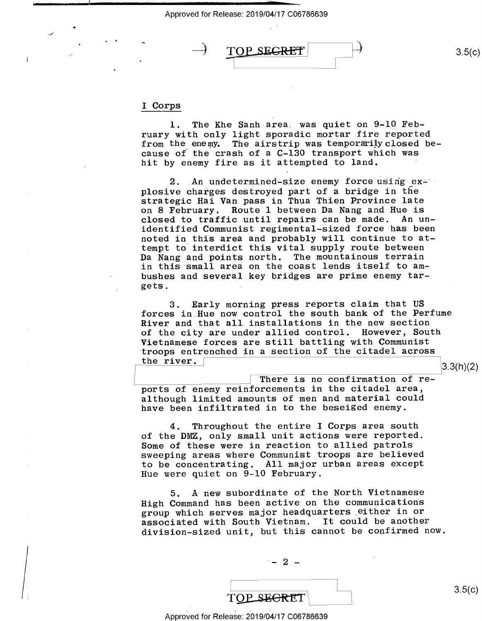$\text{TOP}$  SEGRET  $\rightarrow$  3.5(c)

## <sup>I</sup>Corps

H

l. The Khe Sanh area. was quiet on 9-10 February with only light sporadic mortar fire reported from the enemy. The airstrip was temporarily closed because of the crash of a C-130 transport which was hit by enemy fire as it attempted to land.

2. An undetermined-size enemy force using explosive charges destroyed part of a bridge in the strategic Hai Van pass in Thua Thien Province late on 8 February. Route 1 between Da Nang and Hue is closed to traffic until repairs can be made. An unidentified Communist regimental-sized force has been noted in this area and probably will continue to attempt to interdict this vital supply route between Da Nang and points north. The mountainous terrain in this small area on the coast lends itself to ambushes and several key bridges are prime enemy targets.

3. Early morning press reports claim that US forces in Hue now control the south bank of the Perfume River and that all installations in the new section of the city are under allied control. However, South Vietnamese forces are still battling with Communist troops entrenched in a section of the citadel across<br>the river.  $3.3(h)(2)$ 

There is no confirmation of reports of enemy reinforcements in the citadel area, although limited amounts of men and material could have been infiltrated in to the beseiged enemy.

4. Throughout the entire I Corps area south of the DMZ, only small unit actions were reported. Some of these were in reaction to allied patrols sweeping areas where Communist troops are believed to be concentrating. All major urban areas except Hue were quiet on 9-10 February.

5. A new subordinate of the North Vietnamese High Command has been active on the communications group which serves major headquarters\_either in or associated with South Vietnam. It could be another division-sized unit, but this cannot be confirmed now.

 $-2$   $-$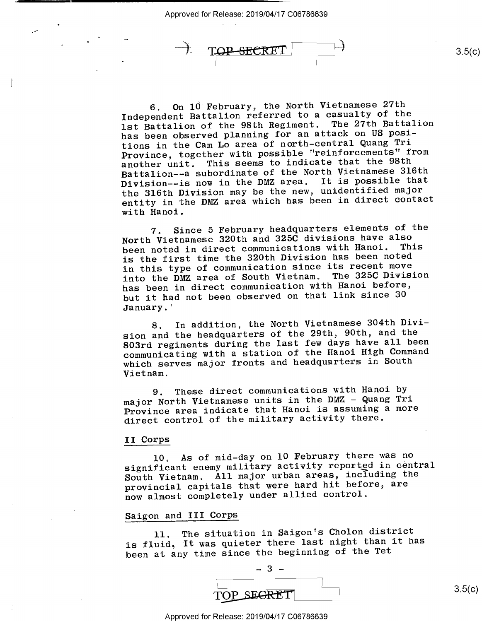$\rightarrow$ 

6. On 10 February, the North Vietnamese 27th Independent Battalion referred to a casualty of the lst Battalion of the 98th Regiment. The 27th Battalion has been observed planning for an attack on US positions in the Cam Lo area of north-central Quang Tri Province, together with possible "reinforcements" from another unit. This seems to indicate that the 98th Battalion--a subordinate of the North Vietnamese 316th Division--is now in the DMZ area. It is possible that the 316th Division may be the new, unidentified major<br>example in the particle has been in direct contact entity in the DMZ area which has been in direct contact with Hanoi.

7. Since 5 February headquarters elements of the North Vietnamese 320th and 325C divisions have also been noted in direct communications with Hanoi. This is the first time the 320th Division has been noted in this type of communication since its recent move into the DMZ area of South Vietnam. The 325C Division has been in direct communication with Hanoi before, but it had not been observed on that link since 30 January.'

8. In addition, the North Vietnamese 304th Division and the headquarters of the 29th, 90th, and the 803rd regiments during the last few days have all been communicating with a station of the Hanoi High Command which serves major fronts and headquarters in South Vietnam.

9. These direct communications with Hanoi by major North Vietnamese units in the DMZ - Quang Tri Province area indicate that Hanoi is assuming a more direct control of the military activity there.

## II Corps

10. As of mid-day on 10 February there was no significant enemy military activity reportgd in central South Vietnam. All major urban areas, including the provincial capitals that were hard hit before, are now almost completely under allied control.

## Saigon and III Corps

ll. The situation in Saigon's Cholon district is fluid, It was quieter there last night than it has been at any time since the beginning of the Tet



 $3.5(c)$ 

 $3.5(c)$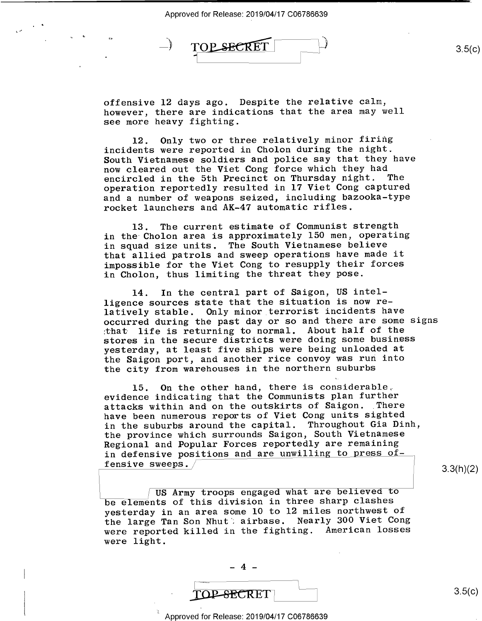$\overline{\phantom{0}}$ 

TOP SEC

w é

offensive 12 days ago. Despite the relative calm, however, there are indications that the area may well see more heavy fighting.

12. Only two or three relatively minor firing incidents were reported in Cholon during the night. South Vietnamese soldiers and police say that they have now cleared out the Viet Cong force which they had encircled in the 5th Precinct on Thursday night. The operation reportedly resulted in l7 Viet Cong captured and a number of weapons seized, including bazooka-type rocket launchers and AK-47 automatic rifles.

13. The current estimate of Communist strength in the Cholon area is approximately 150 men, operating in squad size units. The South Vietnamese believe that allied patrols and sweep operations have made it impossible for the Viet Cong to resupply their forces in Cholon, thus limiting the threat they pose.

14. In the central part of Saigon, US intelligence sources state that the situation is now relatively stable. Only minor terrorist incidents have occurred during the past day or so and there are some signs :that- life is returning to normal. About half of the stores in the secure districts were doing some business yesterday, at least five ships were being unloaded at the Saigon port, and another rice convoy was run into the city from warehouses in the northern suburbs

l5. On the other hand, there is considerable. evidence indicating that the Communists plan further attacks within and on the outskirts of Saigon. There have been numerous reports of Viet Cong units sighted in the suburbs around the capital. Throughout Gia Dinh, the province which surrounds Saigon, South Vietnamese Regional and Popular Forces reportedly are remaining in defensive positions and are unwilling to press offensive sweeps.

 $3.3(h)(2)$ 

US Army troops engaged what are believed to be elements of this division in three sharp clashes yesterday in an area some l0 to l2 miles northwest of the large Tan Son Nhut airbase. Nearly 300 Viet Cong were reported killed in the fighting. American losses were light.